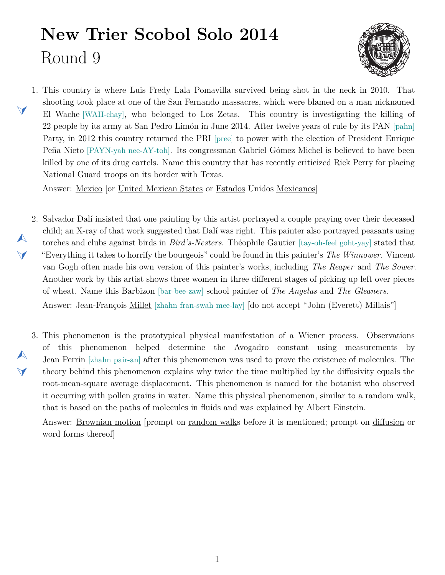## **New Trier Scobol Solo 2014** Round 9

 $\blacktriangleleft$ 

<span id="page-0-2"></span> $\blacktriangle$ 

 $\blacktriangleleft$ 



<span id="page-0-1"></span>1. This country is where Luis Fredy Lala Pomavilla survived being shot in the neck in 2010. That shooting took place at one of the San Fernando massacres, which were blamed on a man nicknamed El Wache [WAH-chay], who belonged to Los Zetas. This country is investigating the killing of 22 people by its army at San Pedro Limón in June 2014. After twelve years of rule by its PAN [pahn] Party, in 2012 this country returned the PRI [pree] to power with the election of President Enrique Peña Nieto [PAYN-yah nee-AY-toh]. Its congressman Gabriel Gómez Michel is believed to have been killed by one of its drug cartels. Name this country that has recently criticized Rick Perry for placing National Guard troops on its border with Texas.

Answer: Mexico [or United Mexican States or Estados Unidos Mexicanos]

- <span id="page-0-0"></span>2. Salvador Dalí insisted that one painting by this artist portrayed a couple praying over their deceased  $\blacktriangle$  $\blacktriangledown$ child; an X-ray of that work suggested that Dalí was right. This painter also portrayed peasants using torches and clubs against birds in *Bird's-Nesters*. Théophile Gautier [tay-oh-feel goht-yay] stated that "Everything it takes to horrify the bourgeois" could be found in this painter's *The Winnower*. Vincent van Gogh often made his own version of this painter's works, including *The Reaper* and *The Sower*. Another work by this artist shows three women in three different stages of picking up left over pieces of wheat. Name this Barbizon [bar-bee-zaw] school painter of *The Angelus* and *The Gleaners*. Answer: Jean-François Millet [zhahn fran-swah mee-lay] [do not accept "John (Everett) Millais"]
	- 3. This phenomenon is the prototypical physical manifestation of a Wiener process. Observations of this phenomenon helped determine the Avogadro constant using measurements by Jean Perrin [zhahn pair-an] after this phenomenon was used to prove the existence of molecules. The theory behind this phenomenon explains why twice the time multiplied by the diffusivity equals the root-mean-square average displacement. This phenomenon is named for the botanist who observed it occurring with pollen grains in water. Name this physical phenomenon, similar to a random walk, that is based on the paths of molecules in fluids and was explained by Albert Einstein.

Answer: Brownian motion [prompt on random walks before it is mentioned; prompt on diffusion or word forms thereof]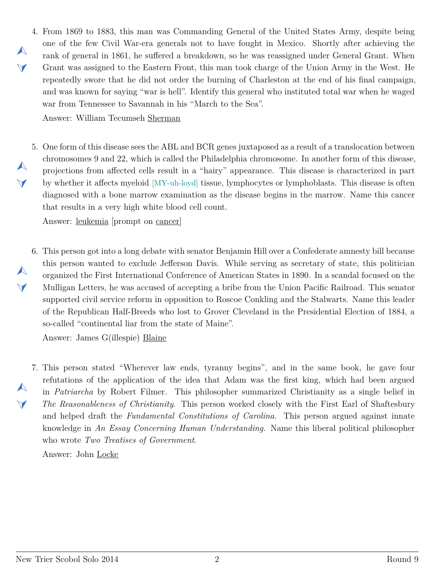<span id="page-1-0"></span>4. From 1869 to 1883, this man was Commanding General of the United States Army, despite being one of the few Civil War-era generals not to have fought in Mexico. Shortly after achieving the rank of general in 1861, he suffered a breakdown, so he was reassigned under General Grant. When Grant was assigned to the Eastern Front, this man took charge of the Union Army in the West. He repeatedly swore that he did not order the burning of Charleston at the end of his final campaign, and was known for saying "war is hell". Identify this general who instituted total war when he waged war from Tennessee to Savannah in his "March to the Sea".

Answer: William Tecumseh Sherman

<span id="page-1-1"></span>5. One form of this disease sees the ABL and BCR genes juxtaposed as a result of a translocation between chromosomes 9 and 22, which is called the Philadelphia chromosome. In another form of this disease, projections from affected cells result in a "hairy" appearance. This disease is characterized in part by whether it affects myeloid [MY-uh-loyd] tissue, lymphocytes or lymphoblasts. This disease is often diagnosed with a bone marrow examination as the disease begins in the marrow. Name this cancer that results in a very high white blood cell count.

Answer: leukemia [prompt on cancer]

<span id="page-1-2"></span>6. This person got into a long debate with senator Benjamin Hill over a Confederate amnesty bill because this person wanted to exclude Jefferson Davis. While serving as secretary of state, this politician organized the First International Conference of American States in 1890. In a scandal focused on the Mulligan Letters, he was accused of accepting a bribe from the Union Pacific Railroad. This senator supported civil service reform in opposition to Roscoe Conkling and the Stalwarts. Name this leader of the Republican Half-Breeds who lost to Grover Cleveland in the Presidential Election of 1884, a so-called "continental liar from the state of Maine".

Answer: James G(illespie) Blaine

 $\blacktriangle$  $\blacktriangleleft$ 

 $\blacktriangle$ 

 $\blacktriangledown$ 

 $\blacktriangle$ 

 $\blacktriangledown$ 

 $\blacktriangle$ 

 $\blacktriangleleft$ 

<span id="page-1-3"></span>7. This person stated "Wherever law ends, tyranny begins", and in the same book, he gave four refutations of the application of the idea that Adam was the first king, which had been argued in *Patriarcha* by Robert Filmer. This philosopher summarized Christianity as a single belief in *The Reasonableness of Christianity*. This person worked closely with the First Earl of Shaftesbury and helped draft the *Fundamental Constitutions of Carolina*. This person argued against innate knowledge in *An Essay Concerning Human Understanding*. Name this liberal political philosopher who wrote *Two Treatises of Government*.

Answer: John Locke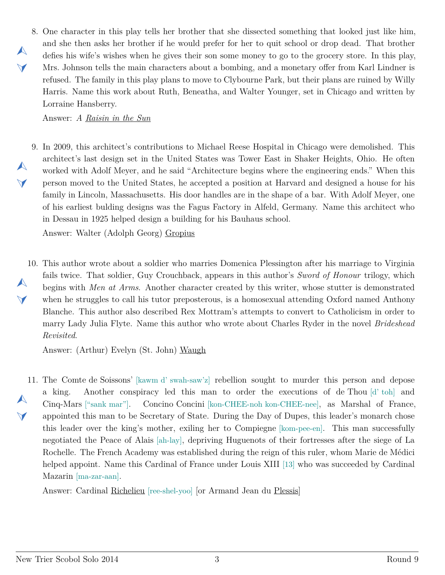<span id="page-2-0"></span>8. One character in this play tells her brother that she dissected something that looked just like him, and she then asks her brother if he would prefer for her to quit school or drop dead. That brother defies his wife's wishes when he gives their son some money to go to the grocery store. In this play, Mrs. Johnson tells the main characters about a bombing, and a monetary offer from Karl Lindner is refused. The family in this play plans to move to Clybourne Park, but their plans are ruined by Willy Harris. Name this work about Ruth, Beneatha, and Walter Younger, set in Chicago and written by Lorraine Hansberry.

Answer: *A Raisin in the Sun*

 $\blacktriangle$ 

 $\blacktriangleleft$ 

 $\blacktriangle$ 

 $\blacktriangleleft$ 

<span id="page-2-1"></span>9. In 2009, this architect's contributions to Michael Reese Hospital in Chicago were demolished. This architect's last design set in the United States was Tower East in Shaker Heights, Ohio. He often worked with Adolf Meyer, and he said "Architecture begins where the engineering ends." When this person moved to the United States, he accepted a position at Harvard and designed a house for his family in Lincoln, Massachusetts. His door handles are in the shape of a bar. With Adolf Meyer, one of his earliest bulding designs was the Fagus Factory in Alfeld, Germany. Name this architect who in Dessau in 1925 helped design a building for his Bauhaus school.

Answer: Walter (Adolph Georg) Gropius

<span id="page-2-2"></span>10. This author wrote about a soldier who marries Domenica Plessington after his marriage to Virginia  $\blacktriangle$  $\blacktriangledown$ fails twice. That soldier, Guy Crouchback, appears in this author's *Sword of Honour* trilogy, which begins with *Men at Arms*. Another character created by this writer, whose stutter is demonstrated when he struggles to call his tutor preposterous, is a homosexual attending Oxford named Anthony Blanche. This author also described Rex Mottram's attempts to convert to Catholicism in order to marry Lady Julia Flyte. Name this author who wrote about Charles Ryder in the novel *Brideshead Revisited*.

Answer: (Arthur) Evelyn (St. John) Waugh

<span id="page-2-3"></span>11. The Comte de Soissons' [kawm d' swah-saw'z] rebellion sought to murder this person and depose  $\blacktriangle$  $\blacktriangledown$ a king. Another conspiracy led this man to order the executions of de Thou [d' toh] and Cinq-Mars ["sank mar"]. Concino Concini [kon-CHEE-noh kon-CHEE-nee], as Marshal of France, appointed this man to be Secretary of State. During the Day of Dupes, this leader's monarch chose this leader over the king's mother, exiling her to Compiegne [kom-pee-en]. This man successfully negotiated the Peace of Alais [ah-lay], depriving Huguenots of their fortresses after the siege of La Rochelle. The French Academy was established during the reign of this ruler, whom Marie de Médici helped appoint. Name this Cardinal of France under Louis XIII [13] who was succeeded by Cardinal Mazarin [ma-zar-aan].

Answer: Cardinal Richelieu [ree-shel-yoo] [or Armand Jean du Plessis]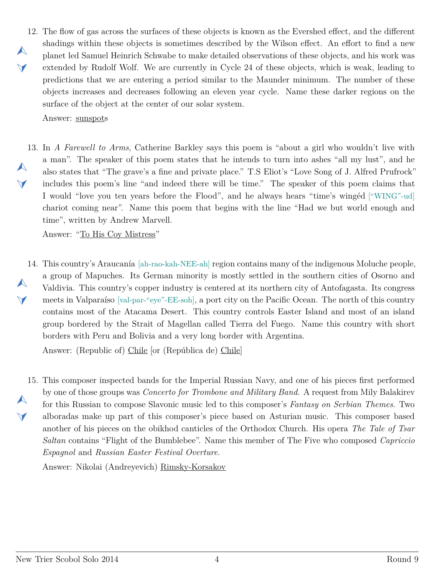<span id="page-3-0"></span>12. The flow of gas across the surfaces of these objects is known as the Evershed effect, and the different  $\blacktriangle$  $\blacktriangleleft$ shadings within these objects is sometimes described by the Wilson effect. An effort to find a new planet led Samuel Heinrich Schwabe to make detailed observations of these objects, and his work was extended by Rudolf Wolf. We are currently in Cycle 24 of these objects, which is weak, leading to predictions that we are entering a period similar to the Maunder minimum. The number of these objects increases and decreases following an eleven year cycle. Name these darker regions on the surface of the object at the center of our solar system.

Answer: sunspots

<span id="page-3-1"></span>13. In *A Farewell to Arms*, Catherine Barkley says this poem is "about a girl who wouldn't live with  $\blacktriangle$  $\blacktriangledown$ a man". The speaker of this poem states that he intends to turn into ashes "all my lust", and he also states that "The grave's a fine and private place." T.S Eliot's "Love Song of J. Alfred Prufrock" includes this poem's line "and indeed there will be time." The speaker of this poem claims that I would "love you ten years before the Flood", and he always hears "time's wingéd ["WING"-ud] chariot coming near". Name this poem that begins with the line "Had we but world enough and time", written by Andrew Marvell.

Answer: "To His Coy Mistress"

<span id="page-3-2"></span>14. This country's Araucanía [ah-rao-kah-NEE-ah] region contains many of the indigenous Moluche people,  $\blacktriangle$  $\blacktriangledown$ a group of Mapuches. Its German minority is mostly settled in the southern cities of Osorno and Valdivia. This country's copper industry is centered at its northern city of Antofagasta. Its congress meets in Valparaíso [val-par-"eye"-EE-soh], a port city on the Pacific Ocean. The north of this country contains most of the Atacama Desert. This country controls Easter Island and most of an island group bordered by the Strait of Magellan called Tierra del Fuego. Name this country with short borders with Peru and Bolivia and a very long border with Argentina.

Answer: (Republic of) Chile [or (República de) Chile]

<span id="page-3-3"></span>15. This composer inspected bands for the Imperial Russian Navy, and one of his pieces first performed  $\blacktriangle$  $\blacktriangleleft$ by one of those groups was *Concerto for Trombone and Military Band*. A request from Mily Balakirev for this Russian to compose Slavonic music led to this composer's *Fantasy on Serbian Themes*. Two alboradas make up part of this composer's piece based on Asturian music. This composer based another of his pieces on the obikhod canticles of the Orthodox Church. His opera *The Tale of Tsar Saltan* contains "Flight of the Bumblebee". Name this member of The Five who composed *Capriccio Espagnol* and *Russian Easter Festival Overture*.

Answer: Nikolai (Andreyevich) Rimsky-Korsakov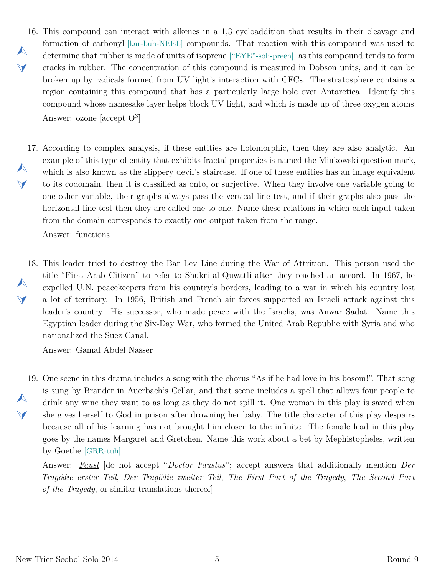- <span id="page-4-0"></span>16. This compound can interact with alkenes in a 1,3 cycloaddition that results in their cleavage and  $\blacktriangle$  $\blacktriangleleft$ formation of carbonyl [kar-buh-NEEL] compounds. That reaction with this compound was used to determine that rubber is made of units of isoprene ["EYE"-soh-preen], as this compound tends to form cracks in rubber. The concentration of this compound is measured in Dobson units, and it can be broken up by radicals formed from UV light's interaction with CFCs. The stratosphere contains a region containing this compound that has a particularly large hole over Antarctica. Identify this compound whose namesake layer helps block UV light, and which is made up of three oxygen atoms. Answer: <u>ozone</u> [accept  $\overline{\mathrm{O}^3}$ ]
- <span id="page-4-1"></span>17. According to complex analysis, if these entities are holomorphic, then they are also analytic. An  $\blacktriangle$  $\blacktriangledown$ example of this type of entity that exhibits fractal properties is named the Minkowski question mark, which is also known as the slippery devil's staircase. If one of these entities has an image equivalent to its codomain, then it is classified as onto, or surjective. When they involve one variable going to one other variable, their graphs always pass the vertical line test, and if their graphs also pass the horizontal line test then they are called one-to-one. Name these relations in which each input taken from the domain corresponds to exactly one output taken from the range.

Answer: functions

<span id="page-4-2"></span>18. This leader tried to destroy the Bar Lev Line during the War of Attrition. This person used the  $\blacktriangle$  $\blacktriangledown$ title "First Arab Citizen" to refer to Shukri al-Quwatli after they reached an accord. In 1967, he expelled U.N. peacekeepers from his country's borders, leading to a war in which his country lost a lot of territory. In 1956, British and French air forces supported an Israeli attack against this leader's country. His successor, who made peace with the Israelis, was Anwar Sadat. Name this Egyptian leader during the Six-Day War, who formed the United Arab Republic with Syria and who nationalized the Suez Canal.

Answer: Gamal Abdel Nasser

<span id="page-4-3"></span>19. One scene in this drama includes a song with the chorus "As if he had love in his bosom!". That song  $\blacktriangle$  $\vee$ is sung by Brander in Auerbach's Cellar, and that scene includes a spell that allows four people to drink any wine they want to as long as they do not spill it. One woman in this play is saved when she gives herself to God in prison after drowning her baby. The title character of this play despairs because all of his learning has not brought him closer to the infinite. The female lead in this play goes by the names Margaret and Gretchen. Name this work about a bet by Mephistopheles, written by Goethe [GRR-tuh].

Answer: *Faust* [do not accept "*Doctor Faustus*"; accept answers that additionally mention *Der Tragödie erster Teil*, *Der Tragödie zweiter Teil*, *The First Part of the Tragedy*, *The Second Part of the Tragedy*, or similar translations thereof]